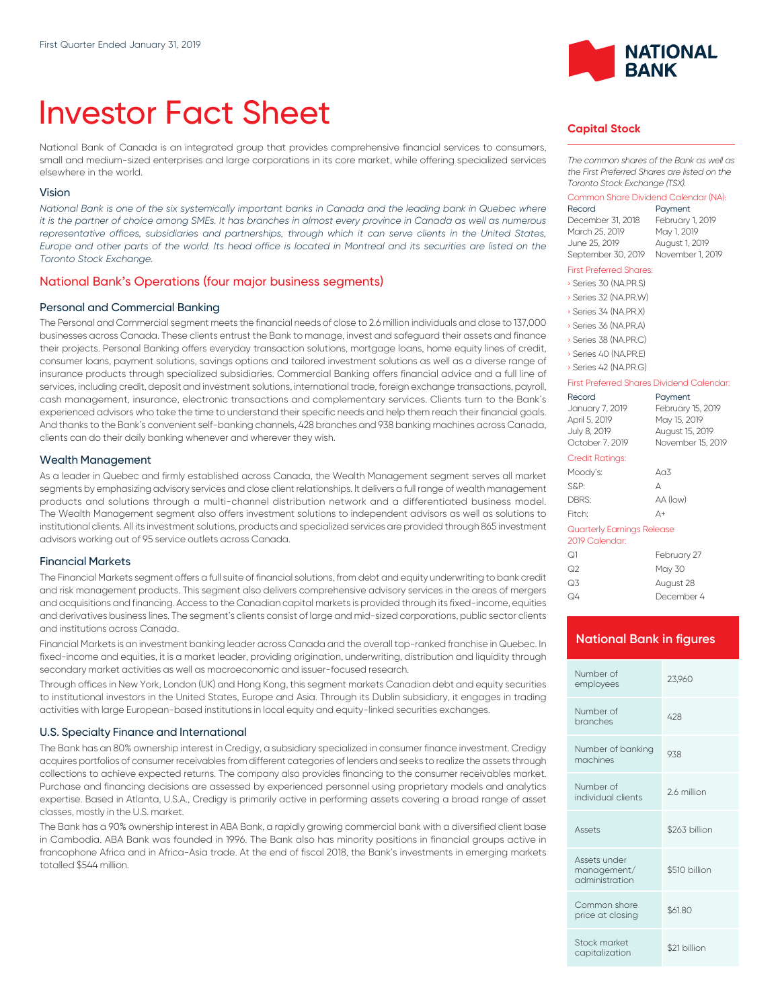# Investor Fact Sheet

National Bank of Canada is an integrated group that provides comprehensive financial services to consumers, small and medium-sized enterprises and large corporations in its core market, while offering specialized services elsewhere in the world.

#### Vision

*National Bank is one of the six systemically important banks in Canada and the leading bank in Quebec where it is the partner of choice among SMEs. It has branches in almost every province in Canada as well as numerous* representative offices, subsidiaries and partnerships, through which it can serve clients in the United States, *Europe and other parts of the world. Its head office is located in Montreal and its securities are listed on the Toronto Stock Exchange.*

# National Bank's Operations (four major business segments)

#### Personal and Commercial Banking

The Personal and Commercial segment meets the financial needs of close to 2.6 million individuals and close to 137,000 businesses across Canada. These clients entrust the Bank to manage, invest and safeguard their assets and finance their projects. Personal Banking offers everyday transaction solutions, mortgage loans, home equity lines of credit, consumer loans, payment solutions, savings options and tailored investment solutions as well as a diverse range of insurance products through specialized subsidiaries. Commercial Banking offers financial advice and a full line of services, including credit, deposit and investment solutions, international trade, foreign exchange transactions, payroll, cash management, insurance, electronic transactions and complementary services. Clients turn to the Bank's experienced advisors who take the time to understand their specific needs and help them reach their financial goals. And thanks to the Bank's convenient self-banking channels, 428 branches and 938 banking machines across Canada, clients can do their daily banking whenever and wherever they wish.

#### Wealth Management

As a leader in Quebec and firmly established across Canada, the Wealth Management segment serves all market segments by emphasizing advisory services and close client relationships. lt delivers a full range of wealth management products and solutions through a multi-channel distribution network and a differentiated business model. The Wealth Management segment also offers investment solutions to independent advisors as well as solutions to institutional clients. All its investment solutions, products and specialized services are provided through 865 investment advisors working out of 95 service outlets across Canada.

#### Financial Markets

The Financial Markets segment offers a full suite of financial solutions, from debt and equity underwriting to bank credit and risk management products. This segment also delivers comprehensive advisory services in the areas of mergers and acquisitions and financing. Access to the Canadian capital markets is provided through its fixed-income, equities and derivatives business lines. The segment's clients consist of large and mid-sized corporations, public sector clients and institutions across Canada.

Financial Markets is an investment banking leader across Canada and the overall top-ranked franchise in Quebec. In fixed-income and equities, it is a market leader, providing origination, underwriting, distribution and liquidity through secondary market activities as well as macroeconomic and issuer-focused research.

Through offices in New York, London (UK) and Hong Kong, this segment markets Canadian debt and equity securities to institutional investors in the United States, Europe and Asia. Through its Dublin subsidiary, it engages in trading activities with large European-based institutions in local equity and equity-linked securities exchanges.

#### U.S. Specialty Finance and International

The Bank has an 80% ownership interest in Credigy, a subsidiary specialized in consumer finance investment. Credigy acquires portfolios of consumer receivables from different categories of lenders and seeks to realize the assets through collections to achieve expected returns. The company also provides financing to the consumer receivables market. Purchase and financing decisions are assessed by experienced personnel using proprietary models and analytics expertise. Based in Atlanta, U.S.A., Credigy is primarily active in performing assets covering a broad range of asset classes, mostly in the U.S. market.

The Bank has a 90% ownership interest in ABA Bank, a rapidly growing commercial bank with a diversified client base in Cambodia. ABA Bank was founded in 1996. The Bank also has minority positions in financial groups active in francophone Africa and in Africa-Asia trade. At the end of fiscal 2018, the Bank's investments in emerging markets totalled \$544 million.



### **Capital Stock**

*The common shares of the Bank as well as the First Preferred Shares are listed on the Toronto Stock Exchange (TSX).*

#### Common Share Dividend Calendar (NA):

| Record             | Payment          |
|--------------------|------------------|
| December 31, 2018  | February 1, 2019 |
| March 25, 2019     | May 1, 2019      |
| June 25, 2019      | August 1, 2019   |
| September 30, 2019 | November 1, 2019 |

#### First Preferred Shares:

|  | Series 30 (NA.PR.S)   |
|--|-----------------------|
|  | Series 32 (NA.PR.W)   |
|  | Series 34 (NA, PR, X) |
|  | Series 36 (NA.PR.A)   |
|  | Series 38 (NA.PR.C)   |
|  | Series 40 (NA.PR.E)   |
|  | Series 42 (NA PRG)    |

#### First Preferred Shares Dividend Calendar:

| Record<br>January 7, 2019<br>April 5, 2019<br>July 8, 2019<br>October 7, 2019 | Payment<br>February 15, 2019<br>May 15, 2019<br>August 15, 2019<br>November 15, 2019 |
|-------------------------------------------------------------------------------|--------------------------------------------------------------------------------------|
| <b>Credit Ratings:</b>                                                        |                                                                                      |
| Moody's:                                                                      | Ag $3$                                                                               |
| S&P:                                                                          | А                                                                                    |
| DBRS:                                                                         | AA (low)                                                                             |
| Fitch:                                                                        | Δ+                                                                                   |
| Quarterly Earnings Release<br>2019 Calendar:                                  |                                                                                      |
| $\bigcap$                                                                     |                                                                                      |

| ೧1 | February 27 |
|----|-------------|
| ೧2 | May 30      |
| Q3 | August 28   |
| Q4 | December 4  |

### **National Bank in figures**

| Number of<br>employees                        | 23.960        |
|-----------------------------------------------|---------------|
| Number of<br>branches                         | 428           |
| Number of banking<br>machines                 | 938           |
| Number of<br>individual clients               | 26 million    |
| Assets                                        | \$263 billion |
| Assets under<br>management/<br>administration | \$510 billion |
| Common share<br>price at closing              | \$61.80       |
| Stock market<br>capitalization                | \$21 billion  |